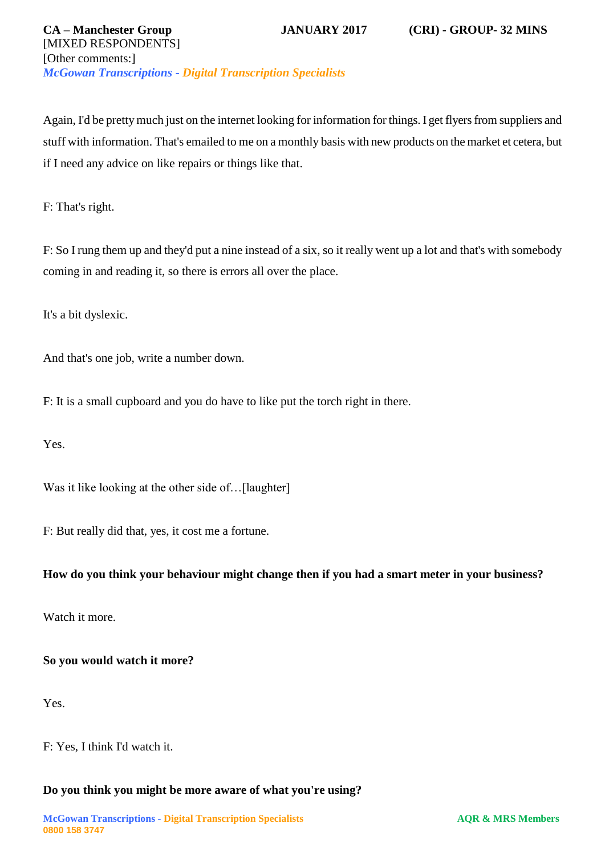## **CA – Manchester Group JANUARY 2017 (CRI) - GROUP- 32 MINS** [MIXED RESPONDENTS] [Other comments:] *McGowan Transcriptions - Digital Transcription Specialists*

Again, I'd be pretty much just on the internet looking for information for things. I get flyers from suppliers and stuff with information. That's emailed to me on a monthly basis with new products on the market et cetera, but if I need any advice on like repairs or things like that.

F: That's right.

F: So I rung them up and they'd put a nine instead of a six, so it really went up a lot and that's with somebody coming in and reading it, so there is errors all over the place.

It's a bit dyslexic.

And that's one job, write a number down.

F: It is a small cupboard and you do have to like put the torch right in there.

Yes.

Was it like looking at the other side of...[laughter]

F: But really did that, yes, it cost me a fortune.

## **How do you think your behaviour might change then if you had a smart meter in your business?**

Watch it more.

#### **So you would watch it more?**

Yes.

F: Yes, I think I'd watch it.

#### **Do you think you might be more aware of what you're using?**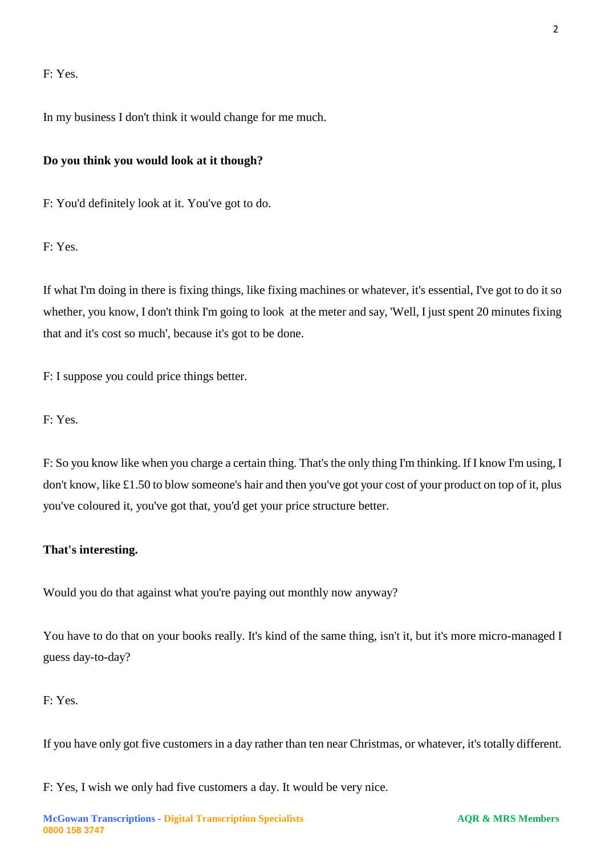## F: Yes.

In my business I don't think it would change for me much.

#### **Do you think you would look at it though?**

F: You'd definitely look at it. You've got to do.

F: Yes.

If what I'm doing in there is fixing things, like fixing machines or whatever, it's essential, I've got to do it so whether, you know, I don't think I'm going to look at the meter and say, 'Well, I just spent 20 minutes fixing that and it's cost so much', because it's got to be done.

F: I suppose you could price things better.

F: Yes.

F: So you know like when you charge a certain thing. That's the only thing I'm thinking. If I know I'm using, I don't know, like £1.50 to blow someone's hair and then you've got your cost of your product on top of it, plus you've coloured it, you've got that, you'd get your price structure better.

#### **That's interesting.**

Would you do that against what you're paying out monthly now anyway?

You have to do that on your books really. It's kind of the same thing, isn't it, but it's more micro-managed I guess day-to-day?

## F: Yes.

If you have only got five customers in a day rather than ten near Christmas, or whatever, it's totally different.

F: Yes, I wish we only had five customers a day. It would be very nice.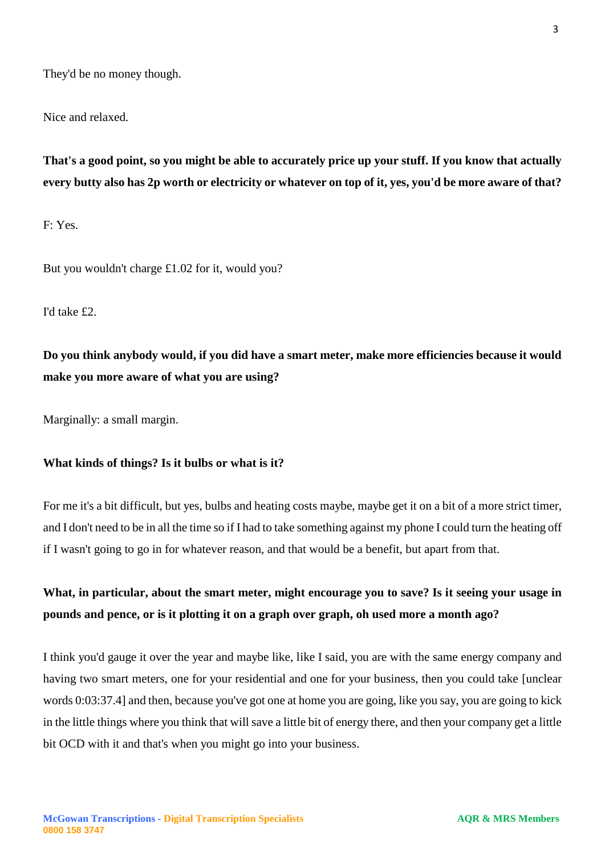They'd be no money though.

Nice and relaxed.

**That's a good point, so you might be able to accurately price up your stuff. If you know that actually every butty also has 2p worth or electricity or whatever on top of it, yes, you'd be more aware of that?**

F: Yes.

But you wouldn't charge £1.02 for it, would you?

I'd take £2.

**Do you think anybody would, if you did have a smart meter, make more efficiencies because it would make you more aware of what you are using?**

Marginally: a small margin.

#### **What kinds of things? Is it bulbs or what is it?**

For me it's a bit difficult, but yes, bulbs and heating costs maybe, maybe get it on a bit of a more strict timer, and I don't need to be in all the time so if I had to take something against my phone I could turn the heating off if I wasn't going to go in for whatever reason, and that would be a benefit, but apart from that.

# **What, in particular, about the smart meter, might encourage you to save? Is it seeing your usage in pounds and pence, or is it plotting it on a graph over graph, oh used more a month ago?**

I think you'd gauge it over the year and maybe like, like I said, you are with the same energy company and having two smart meters, one for your residential and one for your business, then you could take [unclear words 0:03:37.4] and then, because you've got one at home you are going, like you say, you are going to kick in the little things where you think that will save a little bit of energy there, and then your company get a little bit OCD with it and that's when you might go into your business.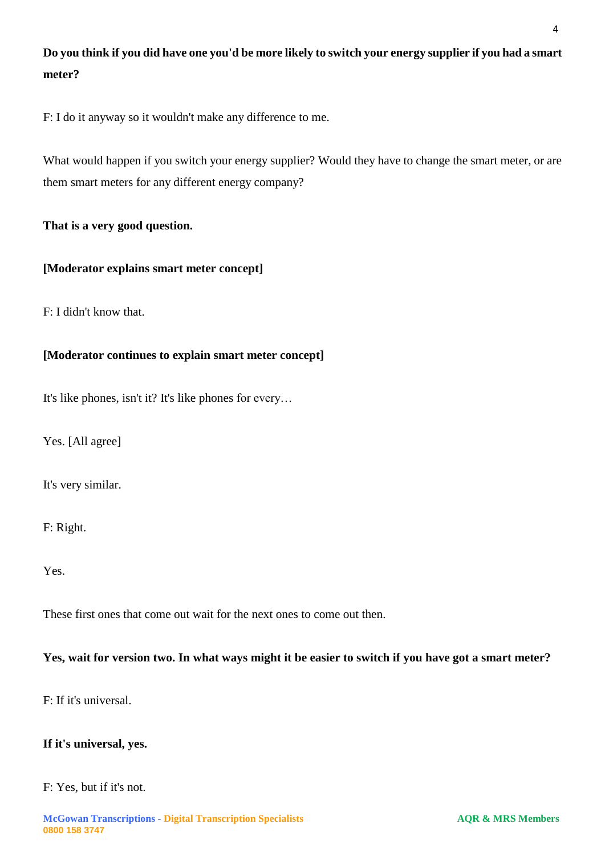# **Do you think if you did have one you'd be more likely to switch your energy supplier if you had a smart meter?**

F: I do it anyway so it wouldn't make any difference to me.

What would happen if you switch your energy supplier? Would they have to change the smart meter, or are them smart meters for any different energy company?

## **That is a very good question.**

## **[Moderator explains smart meter concept]**

F: I didn't know that.

## **[Moderator continues to explain smart meter concept]**

It's like phones, isn't it? It's like phones for every…

Yes. [All agree]

It's very similar.

F: Right.

Yes.

These first ones that come out wait for the next ones to come out then.

## **Yes, wait for version two. In what ways might it be easier to switch if you have got a smart meter?**

F: If it's universal.

## **If it's universal, yes.**

## F: Yes, but if it's not.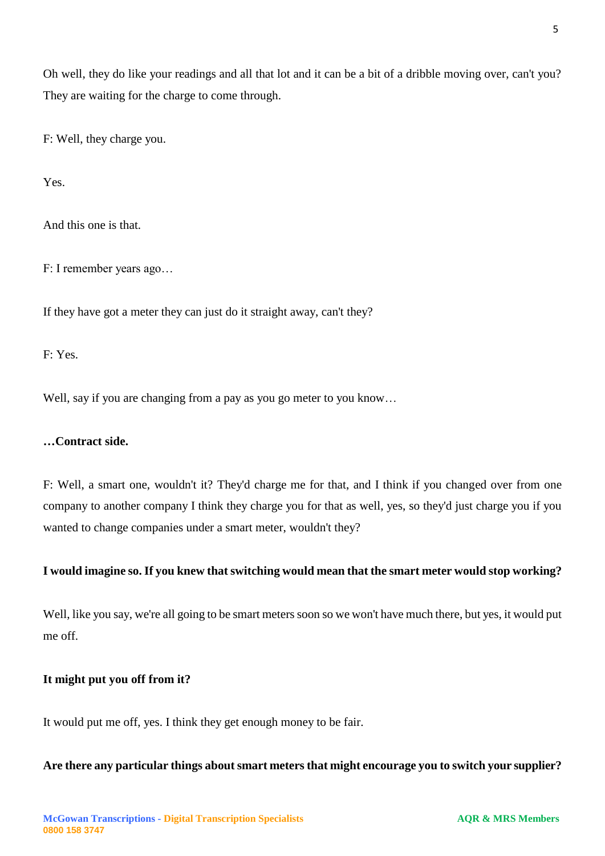Oh well, they do like your readings and all that lot and it can be a bit of a dribble moving over, can't you? They are waiting for the charge to come through.

F: Well, they charge you.

Yes.

And this one is that.

F: I remember years ago…

If they have got a meter they can just do it straight away, can't they?

F: Yes.

Well, say if you are changing from a pay as you go meter to you know...

## **…Contract side.**

F: Well, a smart one, wouldn't it? They'd charge me for that, and I think if you changed over from one company to another company I think they charge you for that as well, yes, so they'd just charge you if you wanted to change companies under a smart meter, wouldn't they?

#### **I would imagine so. If you knew that switching would mean that the smart meter would stop working?**

Well, like you say, we're all going to be smart meters soon so we won't have much there, but yes, it would put me off.

#### **It might put you off from it?**

It would put me off, yes. I think they get enough money to be fair.

**Are there any particular things about smart meters that might encourage you to switch your supplier?**

5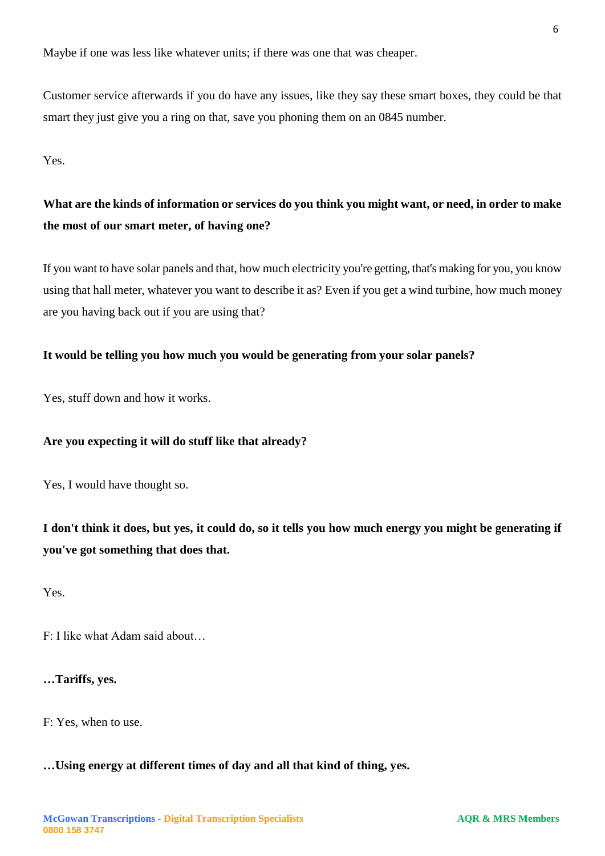Maybe if one was less like whatever units; if there was one that was cheaper.

Customer service afterwards if you do have any issues, like they say these smart boxes, they could be that smart they just give you a ring on that, save you phoning them on an 0845 number.

Yes.

# **What are the kinds of information or services do you think you might want, or need, in order to make the most of our smart meter, of having one?**

If you want to have solar panels and that, how much electricity you're getting, that's making for you, you know using that hall meter, whatever you want to describe it as? Even if you get a wind turbine, how much money are you having back out if you are using that?

## **It would be telling you how much you would be generating from your solar panels?**

Yes, stuff down and how it works.

## **Are you expecting it will do stuff like that already?**

Yes, I would have thought so.

**I don't think it does, but yes, it could do, so it tells you how much energy you might be generating if you've got something that does that.**

Yes.

F: I like what Adam said about…

#### **…Tariffs, yes.**

F: Yes, when to use.

#### **…Using energy at different times of day and all that kind of thing, yes.**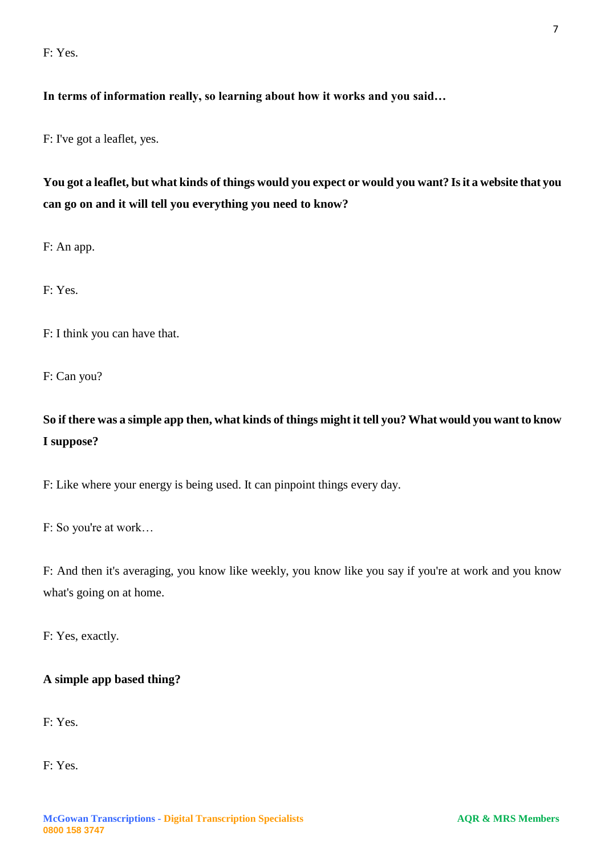F: Yes.

## **In terms of information really, so learning about how it works and you said…**

F: I've got a leaflet, yes.

# **You got a leaflet, but what kinds of things would you expect or would you want? Is it a website that you can go on and it will tell you everything you need to know?**

F: An app.

F: Yes.

F: I think you can have that.

F: Can you?

# **So if there was a simple app then, what kinds of things might it tell you? What would you want to know I suppose?**

F: Like where your energy is being used. It can pinpoint things every day.

F: So you're at work…

F: And then it's averaging, you know like weekly, you know like you say if you're at work and you know what's going on at home.

F: Yes, exactly.

## **A simple app based thing?**

F: Yes.

F: Yes.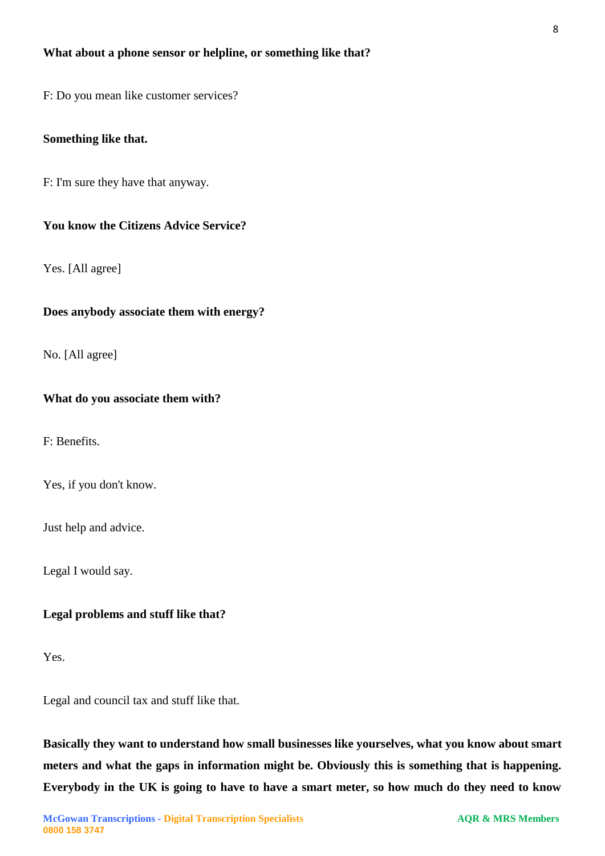#### **What about a phone sensor or helpline, or something like that?**

F: Do you mean like customer services?

#### **Something like that.**

F: I'm sure they have that anyway.

#### **You know the Citizens Advice Service?**

Yes. [All agree]

#### **Does anybody associate them with energy?**

No. [All agree]

#### **What do you associate them with?**

F: Benefits.

Yes, if you don't know.

Just help and advice.

Legal I would say.

#### **Legal problems and stuff like that?**

Yes.

Legal and council tax and stuff like that.

**Basically they want to understand how small businesses like yourselves, what you know about smart meters and what the gaps in information might be. Obviously this is something that is happening. Everybody in the UK is going to have to have a smart meter, so how much do they need to know**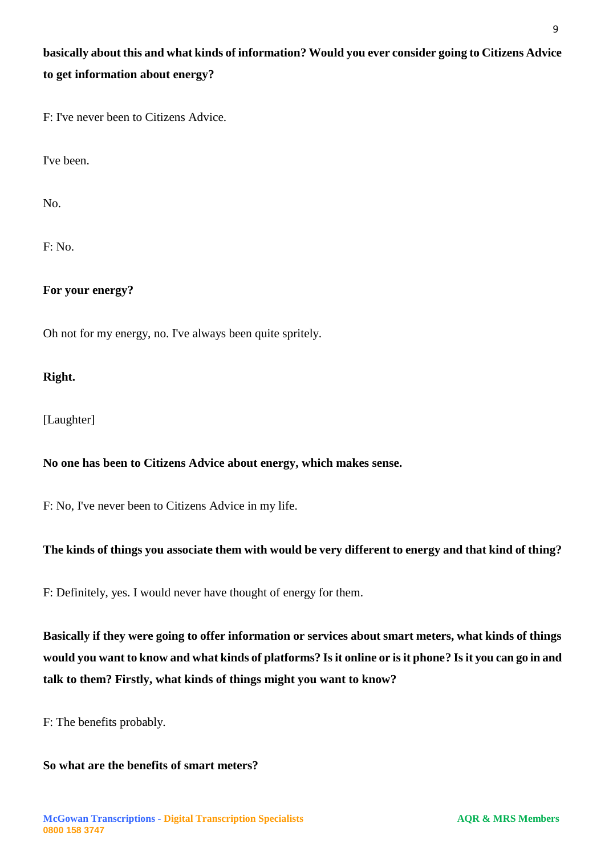# **basically about this and what kinds of information? Would you ever consider going to Citizens Advice to get information about energy?**

F: I've never been to Citizens Advice.

I've been.

No.

F: No.

**For your energy?**

Oh not for my energy, no. I've always been quite spritely.

## **Right.**

[Laughter]

## **No one has been to Citizens Advice about energy, which makes sense.**

F: No, I've never been to Citizens Advice in my life.

## **The kinds of things you associate them with would be very different to energy and that kind of thing?**

F: Definitely, yes. I would never have thought of energy for them.

**Basically if they were going to offer information or services about smart meters, what kinds of things would you want to know and what kinds of platforms? Is it online or is it phone? Is it you can go in and talk to them? Firstly, what kinds of things might you want to know?**

F: The benefits probably.

## **So what are the benefits of smart meters?**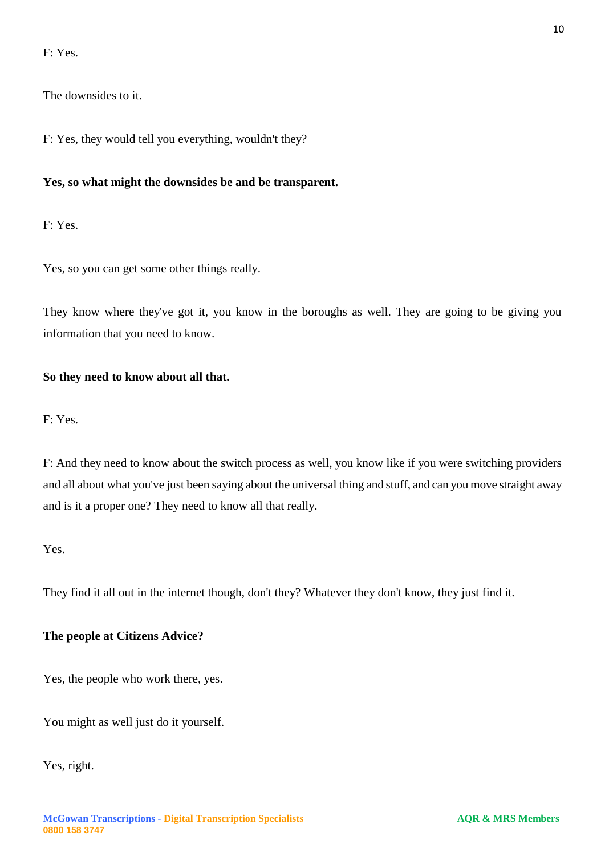F: Yes.

The downsides to it.

F: Yes, they would tell you everything, wouldn't they?

## **Yes, so what might the downsides be and be transparent.**

F: Yes.

Yes, so you can get some other things really.

They know where they've got it, you know in the boroughs as well. They are going to be giving you information that you need to know.

## **So they need to know about all that.**

F: Yes.

F: And they need to know about the switch process as well, you know like if you were switching providers and all about what you've just been saying about the universal thing and stuff, and can you move straight away and is it a proper one? They need to know all that really.

Yes.

They find it all out in the internet though, don't they? Whatever they don't know, they just find it.

#### **The people at Citizens Advice?**

Yes, the people who work there, yes.

You might as well just do it yourself.

Yes, right.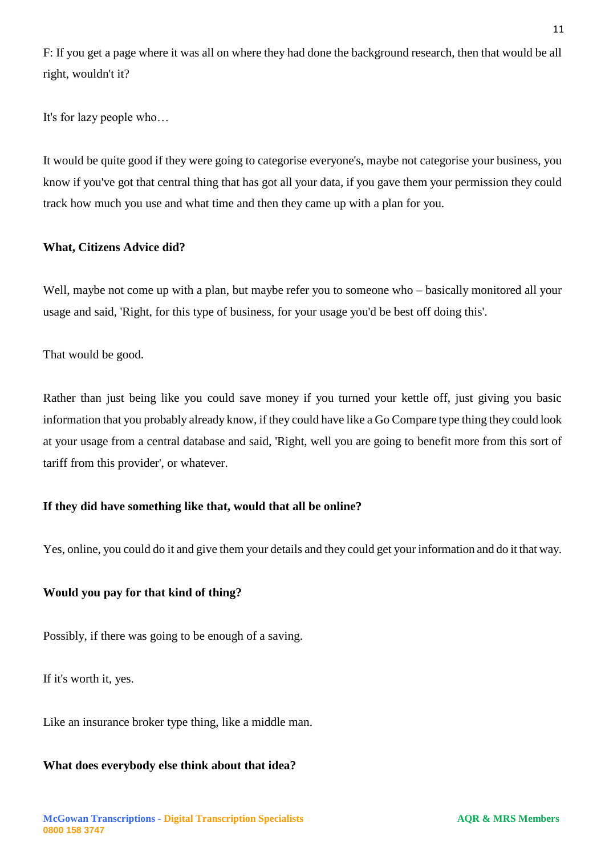F: If you get a page where it was all on where they had done the background research, then that would be all right, wouldn't it?

It's for lazy people who…

It would be quite good if they were going to categorise everyone's, maybe not categorise your business, you know if you've got that central thing that has got all your data, if you gave them your permission they could track how much you use and what time and then they came up with a plan for you.

## **What, Citizens Advice did?**

Well, maybe not come up with a plan, but maybe refer you to someone who – basically monitored all your usage and said, 'Right, for this type of business, for your usage you'd be best off doing this'.

That would be good.

Rather than just being like you could save money if you turned your kettle off, just giving you basic information that you probably already know, if they could have like a Go Compare type thing they could look at your usage from a central database and said, 'Right, well you are going to benefit more from this sort of tariff from this provider', or whatever.

## **If they did have something like that, would that all be online?**

Yes, online, you could do it and give them your details and they could get your information and do it that way.

## **Would you pay for that kind of thing?**

Possibly, if there was going to be enough of a saving.

If it's worth it, yes.

Like an insurance broker type thing, like a middle man.

#### **What does everybody else think about that idea?**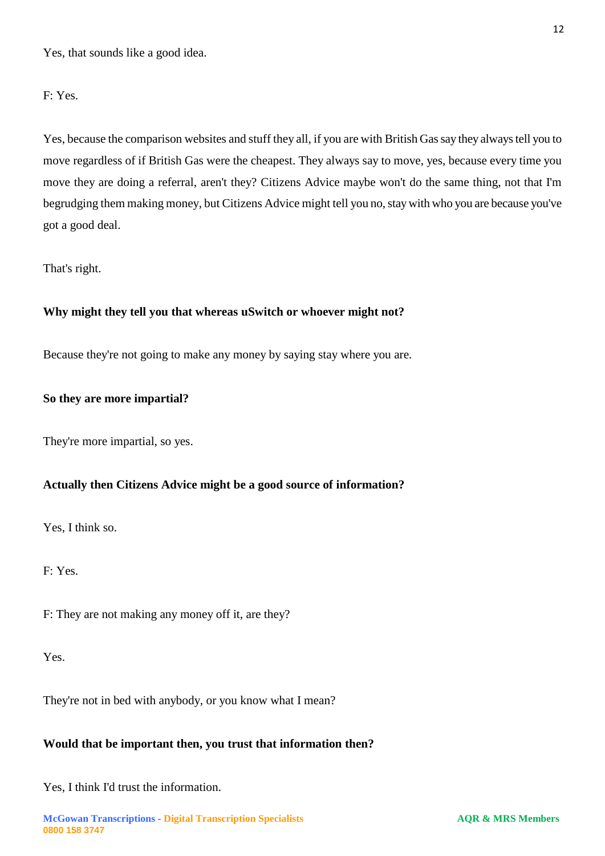Yes, that sounds like a good idea.

#### F: Yes.

Yes, because the comparison websites and stuff they all, if you are with British Gas say they always tell you to move regardless of if British Gas were the cheapest. They always say to move, yes, because every time you move they are doing a referral, aren't they? Citizens Advice maybe won't do the same thing, not that I'm begrudging them making money, but Citizens Advice might tell you no, stay with who you are because you've got a good deal.

#### That's right.

#### **Why might they tell you that whereas uSwitch or whoever might not?**

Because they're not going to make any money by saying stay where you are.

#### **So they are more impartial?**

They're more impartial, so yes.

#### **Actually then Citizens Advice might be a good source of information?**

Yes, I think so.

F: Yes.

F: They are not making any money off it, are they?

Yes.

They're not in bed with anybody, or you know what I mean?

## **Would that be important then, you trust that information then?**

Yes, I think I'd trust the information.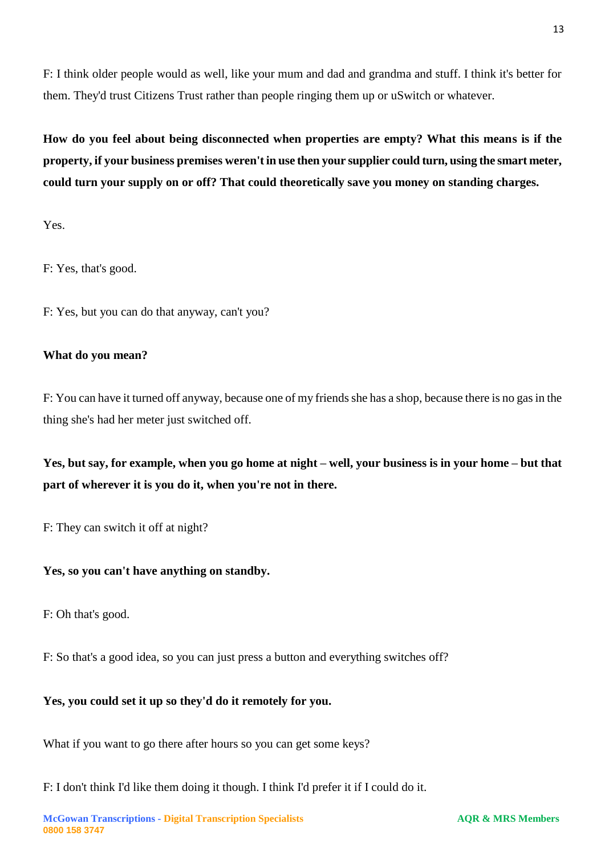F: I think older people would as well, like your mum and dad and grandma and stuff. I think it's better for them. They'd trust Citizens Trust rather than people ringing them up or uSwitch or whatever.

**How do you feel about being disconnected when properties are empty? What this means is if the property, if your business premises weren't in use then your supplier could turn, using the smart meter, could turn your supply on or off? That could theoretically save you money on standing charges.**

Yes.

F: Yes, that's good.

F: Yes, but you can do that anyway, can't you?

## **What do you mean?**

F: You can have it turned off anyway, because one of my friends she has a shop, because there is no gas in the thing she's had her meter just switched off.

**Yes, but say, for example, when you go home at night – well, your business is in your home – but that part of wherever it is you do it, when you're not in there.**

F: They can switch it off at night?

## **Yes, so you can't have anything on standby.**

F: Oh that's good.

F: So that's a good idea, so you can just press a button and everything switches off?

## **Yes, you could set it up so they'd do it remotely for you.**

What if you want to go there after hours so you can get some keys?

F: I don't think I'd like them doing it though. I think I'd prefer it if I could do it.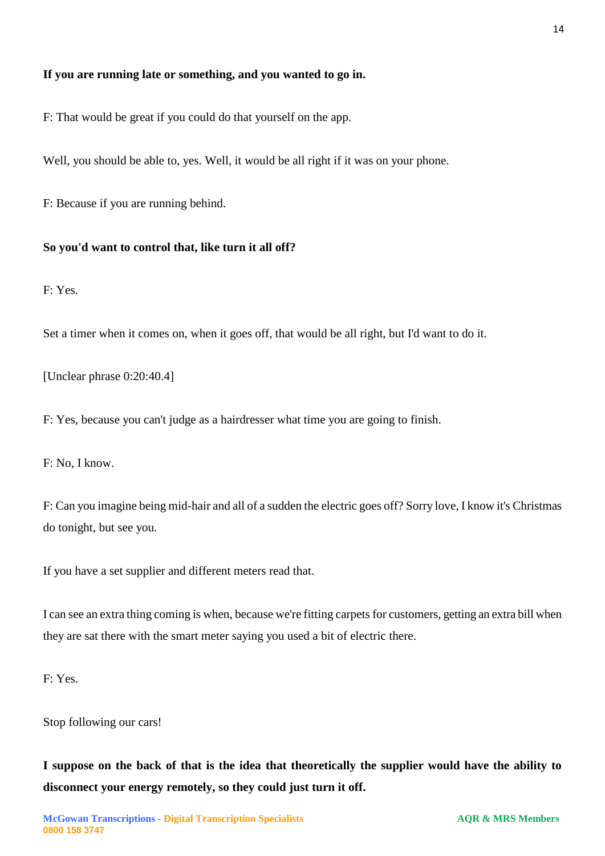## **If you are running late or something, and you wanted to go in.**

F: That would be great if you could do that yourself on the app.

Well, you should be able to, yes. Well, it would be all right if it was on your phone.

F: Because if you are running behind.

#### **So you'd want to control that, like turn it all off?**

F: Yes.

Set a timer when it comes on, when it goes off, that would be all right, but I'd want to do it.

[Unclear phrase 0:20:40.4]

F: Yes, because you can't judge as a hairdresser what time you are going to finish.

F: No, I know.

F: Can you imagine being mid-hair and all of a sudden the electric goes off? Sorry love, I know it's Christmas do tonight, but see you.

If you have a set supplier and different meters read that.

I can see an extra thing coming is when, because we're fitting carpets for customers, getting an extra bill when they are sat there with the smart meter saying you used a bit of electric there.

F: Yes.

Stop following our cars!

**I suppose on the back of that is the idea that theoretically the supplier would have the ability to disconnect your energy remotely, so they could just turn it off.**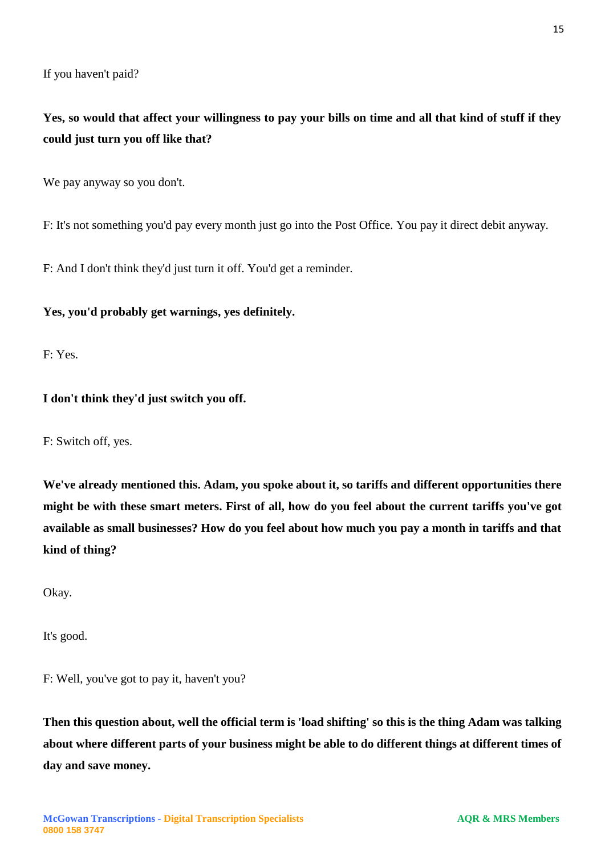If you haven't paid?

**Yes, so would that affect your willingness to pay your bills on time and all that kind of stuff if they could just turn you off like that?**

We pay anyway so you don't.

F: It's not something you'd pay every month just go into the Post Office. You pay it direct debit anyway.

F: And I don't think they'd just turn it off. You'd get a reminder.

## **Yes, you'd probably get warnings, yes definitely.**

F: Yes.

## **I don't think they'd just switch you off.**

F: Switch off, yes.

**We've already mentioned this. Adam, you spoke about it, so tariffs and different opportunities there might be with these smart meters. First of all, how do you feel about the current tariffs you've got available as small businesses? How do you feel about how much you pay a month in tariffs and that kind of thing?**

Okay.

It's good.

F: Well, you've got to pay it, haven't you?

**Then this question about, well the official term is 'load shifting' so this is the thing Adam was talking about where different parts of your business might be able to do different things at different times of day and save money.**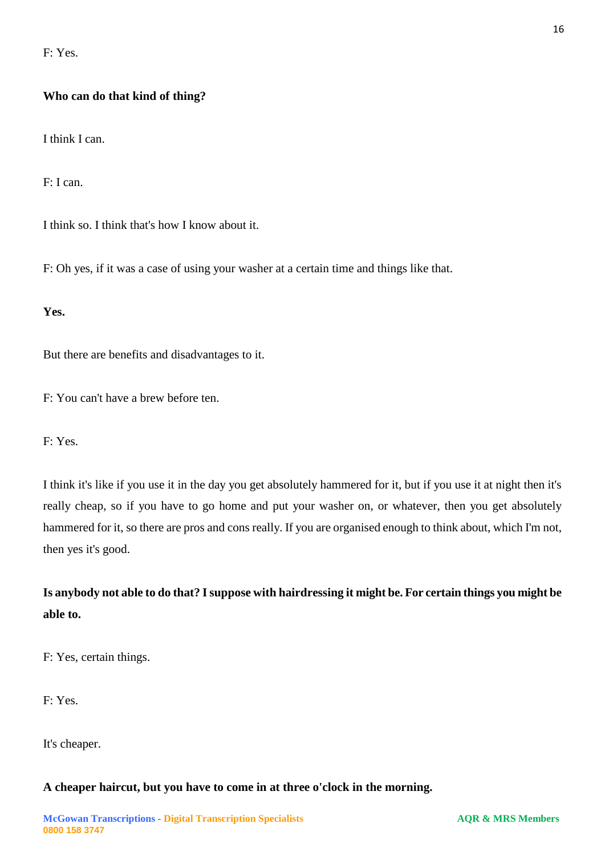F: Yes.

## **Who can do that kind of thing?**

I think I can.

F: I can.

I think so. I think that's how I know about it.

F: Oh yes, if it was a case of using your washer at a certain time and things like that.

**Yes.**

But there are benefits and disadvantages to it.

F: You can't have a brew before ten.

F: Yes.

I think it's like if you use it in the day you get absolutely hammered for it, but if you use it at night then it's really cheap, so if you have to go home and put your washer on, or whatever, then you get absolutely hammered for it, so there are pros and cons really. If you are organised enough to think about, which I'm not, then yes it's good.

**Is anybody not able to do that? I suppose with hairdressing it might be. For certain things you might be able to.**

F: Yes, certain things.

F: Yes.

It's cheaper.

#### **A cheaper haircut, but you have to come in at three o'clock in the morning.**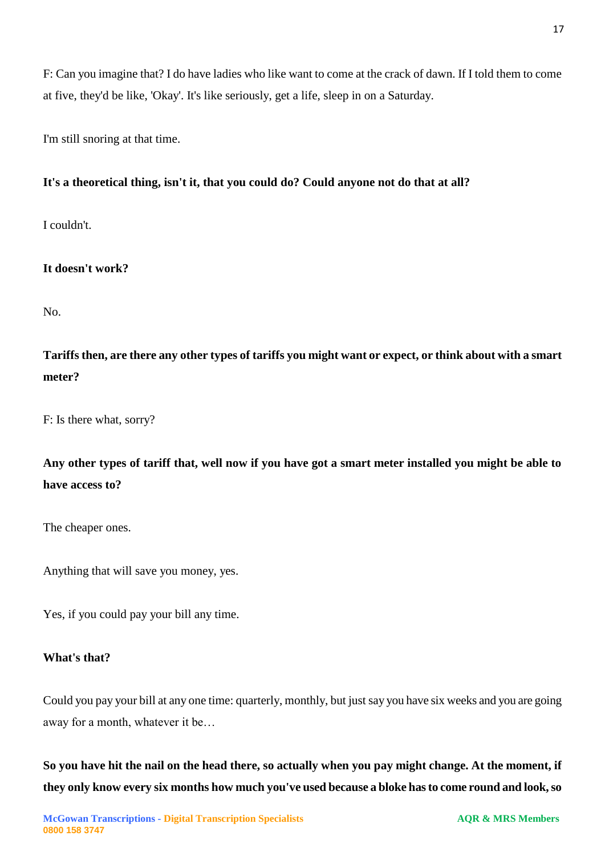F: Can you imagine that? I do have ladies who like want to come at the crack of dawn. If I told them to come at five, they'd be like, 'Okay'. It's like seriously, get a life, sleep in on a Saturday.

I'm still snoring at that time.

# **It's a theoretical thing, isn't it, that you could do? Could anyone not do that at all?**

I couldn't.

**It doesn't work?**

No.

**Tariffs then, are there any other types of tariffs you might want or expect, or think about with a smart meter?**

F: Is there what, sorry?

**Any other types of tariff that, well now if you have got a smart meter installed you might be able to have access to?** 

The cheaper ones.

Anything that will save you money, yes.

Yes, if you could pay your bill any time.

## **What's that?**

Could you pay your bill at any one time: quarterly, monthly, but just say you have six weeks and you are going away for a month, whatever it be…

**So you have hit the nail on the head there, so actually when you pay might change. At the moment, if they only know every six months how much you've used because a bloke has to come round and look, so**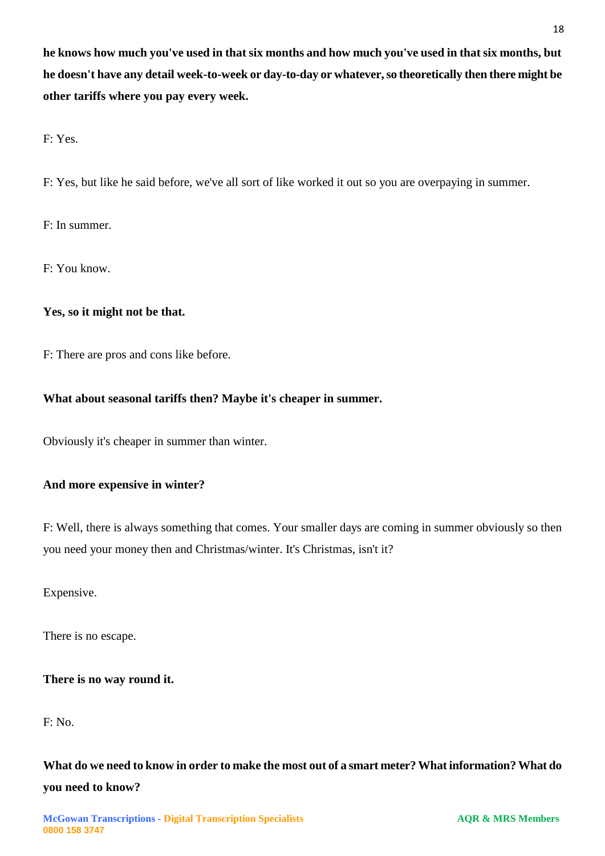**he knows how much you've used in that six months and how much you've used in that six months, but he doesn't have any detail week-to-week or day-to-day or whatever, so theoretically then there might be other tariffs where you pay every week.**

F: Yes.

F: Yes, but like he said before, we've all sort of like worked it out so you are overpaying in summer.

F: In summer.

F: You know.

## **Yes, so it might not be that.**

F: There are pros and cons like before.

## **What about seasonal tariffs then? Maybe it's cheaper in summer.**

Obviously it's cheaper in summer than winter.

## **And more expensive in winter?**

F: Well, there is always something that comes. Your smaller days are coming in summer obviously so then you need your money then and Christmas/winter. It's Christmas, isn't it?

Expensive.

There is no escape.

## **There is no way round it.**

F: No.

**What do we need to know in order to make the most out of a smart meter? What information? What do you need to know?**

18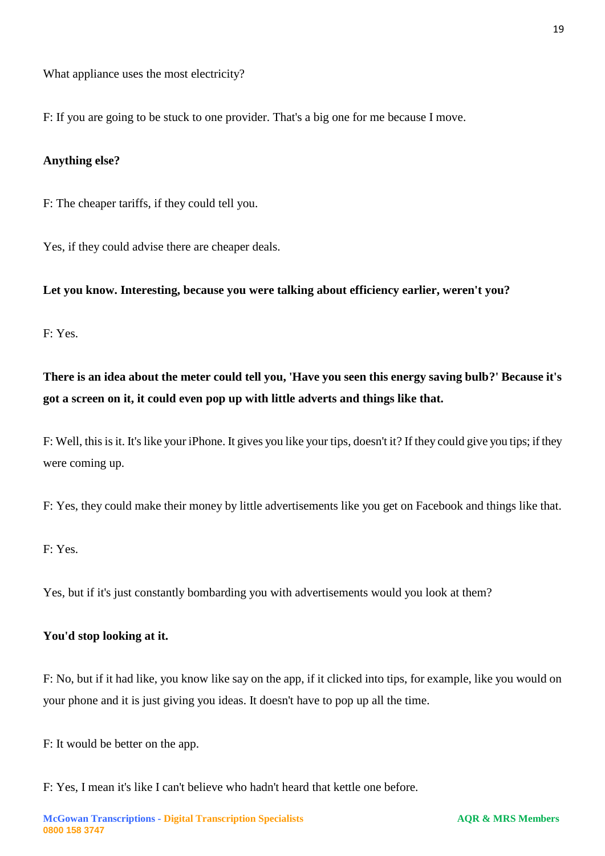What appliance uses the most electricity?

F: If you are going to be stuck to one provider. That's a big one for me because I move.

#### **Anything else?**

F: The cheaper tariffs, if they could tell you.

Yes, if they could advise there are cheaper deals.

**Let you know. Interesting, because you were talking about efficiency earlier, weren't you?**

F: Yes.

**There is an idea about the meter could tell you, 'Have you seen this energy saving bulb?' Because it's got a screen on it, it could even pop up with little adverts and things like that.**

F: Well, this is it. It's like your iPhone. It gives you like your tips, doesn't it? If they could give you tips; if they were coming up.

F: Yes, they could make their money by little advertisements like you get on Facebook and things like that.

F: Yes.

Yes, but if it's just constantly bombarding you with advertisements would you look at them?

#### **You'd stop looking at it.**

F: No, but if it had like, you know like say on the app, if it clicked into tips, for example, like you would on your phone and it is just giving you ideas. It doesn't have to pop up all the time.

F: It would be better on the app.

F: Yes, I mean it's like I can't believe who hadn't heard that kettle one before.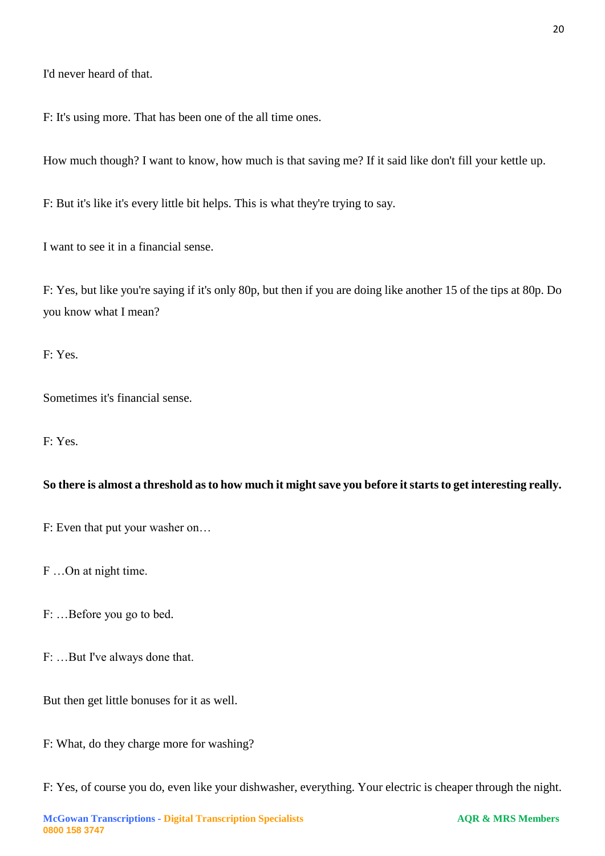I'd never heard of that.

F: It's using more. That has been one of the all time ones.

How much though? I want to know, how much is that saving me? If it said like don't fill your kettle up.

F: But it's like it's every little bit helps. This is what they're trying to say.

I want to see it in a financial sense.

F: Yes, but like you're saying if it's only 80p, but then if you are doing like another 15 of the tips at 80p. Do you know what I mean?

F: Yes.

Sometimes it's financial sense.

F: Yes.

## **So there is almost a threshold as to how much it might save you before it starts to get interesting really.**

F: Even that put your washer on…

F …On at night time.

F: …Before you go to bed.

F: …But I've always done that.

But then get little bonuses for it as well.

F: What, do they charge more for washing?

F: Yes, of course you do, even like your dishwasher, everything. Your electric is cheaper through the night.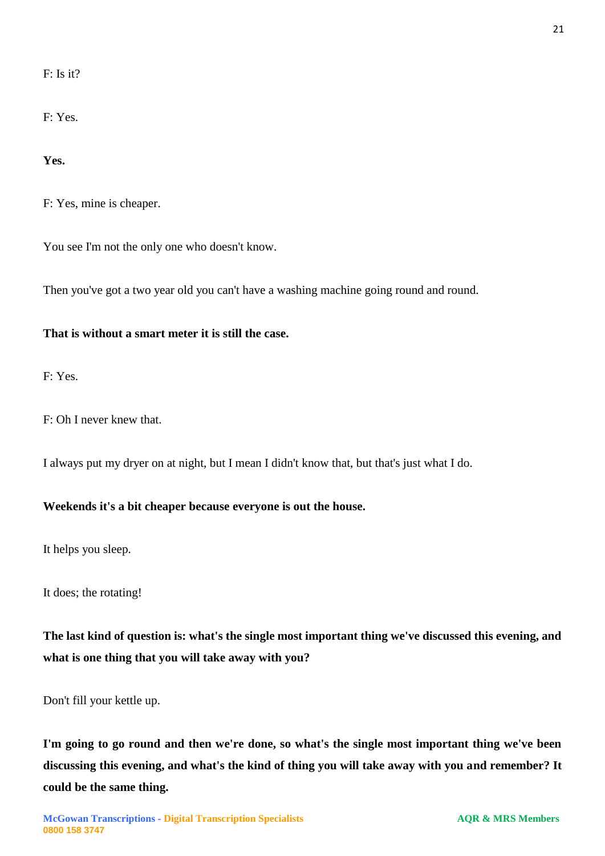F: Is it?

F: Yes.

**Yes.**

F: Yes, mine is cheaper.

You see I'm not the only one who doesn't know.

Then you've got a two year old you can't have a washing machine going round and round.

## **That is without a smart meter it is still the case.**

F: Yes.

F: Oh I never knew that.

I always put my dryer on at night, but I mean I didn't know that, but that's just what I do.

## **Weekends it's a bit cheaper because everyone is out the house.**

It helps you sleep.

It does; the rotating!

**The last kind of question is: what's the single most important thing we've discussed this evening, and what is one thing that you will take away with you?**

Don't fill your kettle up.

**I'm going to go round and then we're done, so what's the single most important thing we've been discussing this evening, and what's the kind of thing you will take away with you and remember? It could be the same thing.**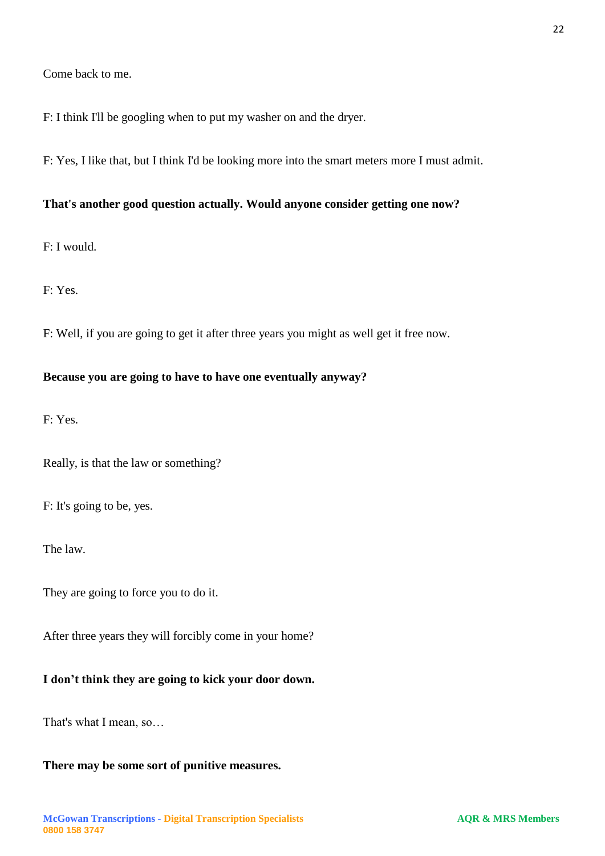F: I think I'll be googling when to put my washer on and the dryer.

F: Yes, I like that, but I think I'd be looking more into the smart meters more I must admit.

## **That's another good question actually. Would anyone consider getting one now?**

F: I would.

F: Yes.

F: Well, if you are going to get it after three years you might as well get it free now.

## **Because you are going to have to have one eventually anyway?**

F: Yes.

Really, is that the law or something?

F: It's going to be, yes.

The law.

They are going to force you to do it.

After three years they will forcibly come in your home?

#### **I don't think they are going to kick your door down.**

That's what I mean, so…

## **There may be some sort of punitive measures.**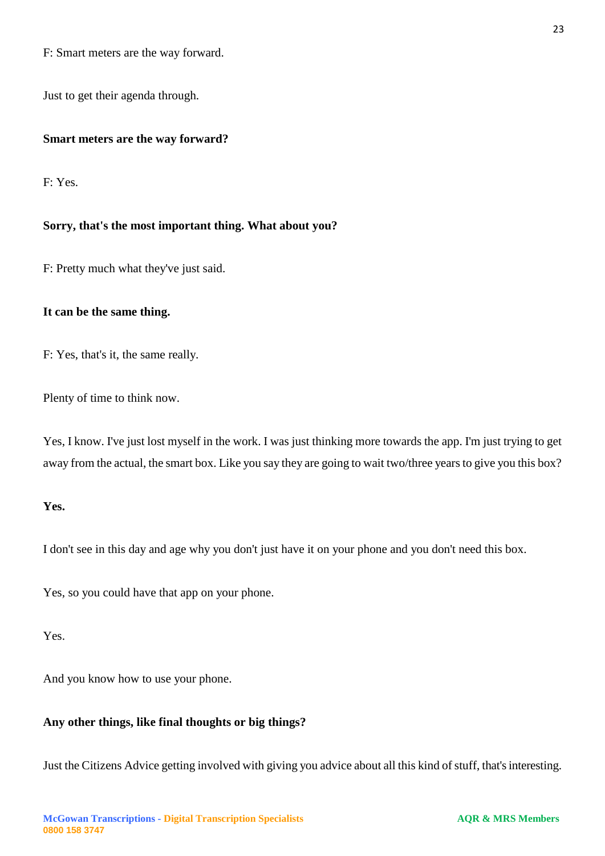F: Smart meters are the way forward.

Just to get their agenda through.

#### **Smart meters are the way forward?**

F: Yes.

#### **Sorry, that's the most important thing. What about you?**

F: Pretty much what they've just said.

#### **It can be the same thing.**

F: Yes, that's it, the same really.

Plenty of time to think now.

Yes, I know. I've just lost myself in the work. I was just thinking more towards the app. I'm just trying to get away from the actual, the smart box. Like you say they are going to wait two/three years to give you this box?

## **Yes.**

I don't see in this day and age why you don't just have it on your phone and you don't need this box.

Yes, so you could have that app on your phone.

Yes.

And you know how to use your phone.

#### **Any other things, like final thoughts or big things?**

Just the Citizens Advice getting involved with giving you advice about all this kind of stuff, that's interesting.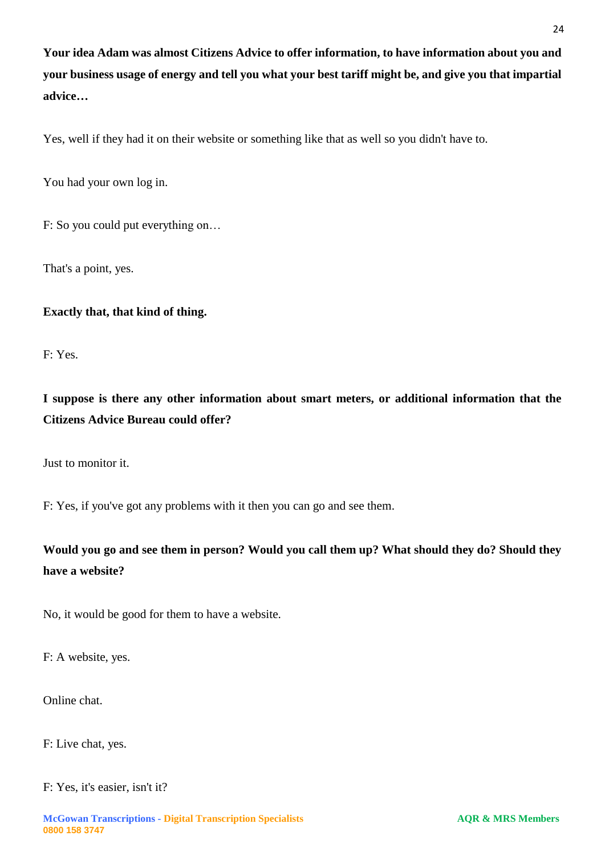**Your idea Adam was almost Citizens Advice to offer information, to have information about you and your business usage of energy and tell you what your best tariff might be, and give you that impartial advice…**

Yes, well if they had it on their website or something like that as well so you didn't have to.

You had your own log in.

F: So you could put everything on…

That's a point, yes.

## **Exactly that, that kind of thing.**

F: Yes.

**I suppose is there any other information about smart meters, or additional information that the Citizens Advice Bureau could offer?**

Just to monitor it.

F: Yes, if you've got any problems with it then you can go and see them.

**Would you go and see them in person? Would you call them up? What should they do? Should they have a website?**

No, it would be good for them to have a website.

F: A website, yes.

Online chat.

F: Live chat, yes.

F: Yes, it's easier, isn't it?